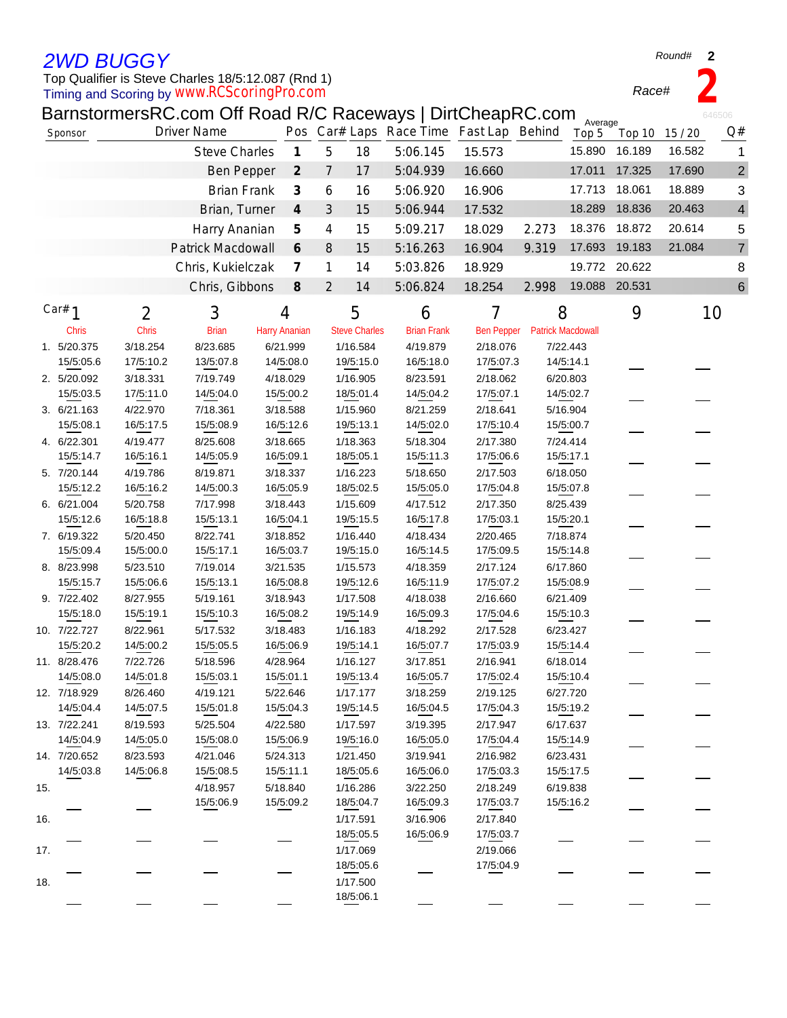## *2WD BUGGY*

## Timing and Scoring by Top Qualifier is Steve Charles 18/5:12.087 (Rnd 1) *www.RCScoringPro.com*

BarnstormersRC.com Off Road R/C Raceways | DirtCheapRC.com

|     |              |           | BarnstormersRC.com Off Road R/C Raceways   DirtCheapRC.com |                             |                                              |                      |                                         |                   |       | Average                  |               |        | 646506         |
|-----|--------------|-----------|------------------------------------------------------------|-----------------------------|----------------------------------------------|----------------------|-----------------------------------------|-------------------|-------|--------------------------|---------------|--------|----------------|
|     | Sponsor      |           | <b>Driver Name</b>                                         |                             |                                              |                      | Pos Car# Laps Race Time Fast Lap Behind |                   |       | Top 5                    | Top 10        | 15/20  | Q#             |
|     |              |           | <b>Steve Charles</b>                                       |                             | $\overline{5}$<br>$\boldsymbol{\mathcal{I}}$ | 18                   | 5:06.145                                | 15.573            |       | 15.890                   | 16.189        | 16.582 | 1              |
|     |              |           | <b>Ben Pepper</b>                                          | $\mathcal{Z}_{\mathcal{C}}$ | $\overline{7}$                               | 17                   | 5:04.939                                | 16.660            |       | 17.011                   | 17.325        | 17.690 | $\overline{c}$ |
|     |              |           | <b>Brian Frank</b>                                         |                             | 6                                            | 16                   | 5:06.920                                | 16.906            |       | 17.713                   | 18.061        | 18.889 | 3              |
|     |              |           | Brian, Turner                                              |                             | $\boldsymbol{4}$<br>3                        | 15                   | 5:06.944                                | 17.532            |       | 18.289                   | 18.836        | 20.463 | 4              |
|     |              |           | Harry Ananian                                              |                             | 5<br>4                                       | 15                   | 5:09.217                                | 18.029            | 2.273 | 18.376                   | 18.872        | 20.614 | 5              |
|     |              |           |                                                            | 6                           |                                              |                      |                                         |                   |       | 17.693                   | 19.183        | 21.084 | 7              |
|     |              |           | Patrick Macdowall                                          |                             | $\, 8$                                       | 15                   | 5:16.263                                | 16.904            | 9.319 |                          |               |        |                |
|     |              |           | Chris, Kukielczak                                          |                             | $\overline{\mathcal{L}}$<br>1                | 14                   | 5:03.826                                | 18.929            |       |                          | 19.772 20.622 |        | 8              |
|     |              |           | Chris, Gibbons                                             | $\mathcal S$                | 2                                            | 14                   | 5:06.824                                | 18.254            | 2.998 | 19.088 20.531            |               |        | 6              |
|     | Car# $1$     | 2         | 3                                                          | 4                           |                                              | 5                    | 6                                       | 7                 |       | 8                        | 9             |        | 10             |
|     | <b>Chris</b> | Chris     | <b>Brian</b>                                               | <b>Harry Ananian</b>        |                                              | <b>Steve Charles</b> | <b>Brian Frank</b>                      | <b>Ben Pepper</b> |       | <b>Patrick Macdowall</b> |               |        |                |
|     | 1. 5/20.375  | 3/18.254  | 8/23.685                                                   | 6/21.999                    |                                              | 1/16.584             | 4/19.879                                | 2/18.076          |       | 7/22.443                 |               |        |                |
|     | 15/5:05.6    | 17/5:10.2 | 13/5:07.8                                                  | 14/5:08.0                   |                                              | 19/5:15.0            | 16/5:18.0                               | 17/5:07.3         |       | 14/5:14.1                |               |        |                |
|     | 2. 5/20.092  | 3/18.331  | 7/19.749                                                   | 4/18.029                    |                                              | 1/16.905             | 8/23.591                                | 2/18.062          |       | 6/20.803                 |               |        |                |
|     | 15/5:03.5    | 17/5:11.0 | 14/5:04.0                                                  | 15/5:00.2                   |                                              | 18/5:01.4            | 14/5:04.2                               | 17/5:07.1         |       | 14/5:02.7                |               |        |                |
|     |              |           |                                                            |                             |                                              |                      |                                         |                   |       |                          |               |        |                |
|     | 3. 6/21.163  | 4/22.970  | 7/18.361<br>15/5:08.9                                      | 3/18.588                    |                                              | 1/15.960             | 8/21.259                                | 2/18.641          |       | 5/16.904                 |               |        |                |
|     | 15/5:08.1    | 16/5:17.5 |                                                            | 16/5:12.6                   |                                              | 19/5:13.1            | 14/5:02.0                               | 17/5:10.4         |       | 15/5:00.7                |               |        |                |
|     | 4. 6/22.301  | 4/19.477  | 8/25.608                                                   | 3/18.665                    |                                              | 1/18.363             | 5/18.304                                | 2/17.380          |       | 7/24.414                 |               |        |                |
|     | 15/5:14.7    | 16/5:16.1 | 14/5:05.9                                                  | 16/5:09.1                   |                                              | 18/5:05.1            | 15/5:11.3                               | 17/5:06.6         |       | 15/5:17.1                |               |        |                |
|     | 5. 7/20.144  | 4/19.786  | 8/19.871                                                   | 3/18.337                    |                                              | 1/16.223             | 5/18.650                                | 2/17.503          |       | 6/18.050                 |               |        |                |
|     | 15/5:12.2    | 16/5:16.2 | 14/5:00.3                                                  | 16/5:05.9                   |                                              | 18/5:02.5            | 15/5:05.0                               | 17/5:04.8         |       | 15/5:07.8                |               |        |                |
|     | 6. 6/21.004  | 5/20.758  | 7/17.998                                                   | 3/18.443                    |                                              | 1/15.609             | 4/17.512                                | 2/17.350          |       | 8/25.439                 |               |        |                |
|     | 15/5:12.6    | 16/5:18.8 | 15/5:13.1                                                  | 16/5:04.1                   |                                              | 19/5:15.5            | 16/5:17.8                               | 17/5:03.1         |       | 15/5:20.1                |               |        |                |
|     | 7. 6/19.322  | 5/20.450  | 8/22.741                                                   | 3/18.852                    |                                              | 1/16.440             | 4/18.434                                | 2/20.465          |       | 7/18.874                 |               |        |                |
|     | 15/5:09.4    | 15/5:00.0 | 15/5:17.1                                                  | 16/5:03.7                   |                                              | 19/5:15.0            | 16/5:14.5                               | 17/5:09.5         |       | 15/5:14.8                |               |        |                |
|     | 8. 8/23.998  | 5/23.510  | 7/19.014                                                   | 3/21.535                    |                                              | 1/15.573             | 4/18.359                                | 2/17.124          |       | 6/17.860                 |               |        |                |
|     | 15/5:15.7    | 15/5:06.6 | 15/5:13.1                                                  | 16/5:08.8                   |                                              | 19/5:12.6            | 16/5:11.9                               | 17/5:07.2         |       | 15/5:08.9                |               |        |                |
|     | 9. 7/22.402  | 8/27.955  | 5/19.161                                                   | 3/18.943                    |                                              | 1/17.508             | 4/18.038                                | 2/16.660          |       | 6/21.409                 |               |        |                |
|     | 15/5:18.0    | 15/5:19.1 | 15/5:10.3                                                  | 16/5:08.2                   |                                              | 19/5:14.9            | 16/5:09.3                               | 17/5:04.6         |       | 15/5:10.3                |               |        |                |
|     | 10. 7/22.727 | 8/22.961  | 5/17.532                                                   | 3/18.483                    |                                              | 1/16.183             | 4/18.292                                | 2/17.528          |       | 6/23.427                 |               |        |                |
|     | 15/5:20.2    | 14/5:00.2 | 15/5:05.5                                                  | 16/5:06.9                   |                                              | 19/5:14.1            | 16/5:07.7                               | 17/5:03.9         |       | 15/5:14.4                |               |        |                |
|     | 11. 8/28.476 | 7/22.726  | 5/18.596                                                   | 4/28.964                    |                                              | 1/16.127             | 3/17.851                                | 2/16.941          |       | 6/18.014                 |               |        |                |
|     | 14/5:08.0    | 14/5:01.8 | 15/5:03.1                                                  | 15/5:01.1                   |                                              | 19/5:13.4            | 16/5:05.7                               | 17/5:02.4         |       | 15/5:10.4                |               |        |                |
|     | 12. 7/18.929 | 8/26.460  | 4/19.121                                                   | 5/22.646                    |                                              | 1/17.177             | 3/18.259                                | 2/19.125          |       | 6/27.720                 |               |        |                |
|     | 14/5:04.4    | 14/5:07.5 | 15/5:01.8                                                  | 15/5:04.3                   |                                              | 19/5:14.5            | 16/5:04.5                               | 17/5:04.3         |       | 15/5:19.2                |               |        |                |
|     | 13. 7/22.241 | 8/19.593  | 5/25.504                                                   | 4/22.580                    |                                              | 1/17.597             | 3/19.395                                | 2/17.947          |       | 6/17.637                 |               |        |                |
|     | 14/5:04.9    | 14/5:05.0 | 15/5:08.0                                                  | 15/5:06.9                   |                                              | 19/5:16.0            | 16/5:05.0                               | 17/5:04.4         |       | 15/5:14.9                |               |        |                |
|     | 14. 7/20.652 | 8/23.593  | 4/21.046                                                   | 5/24.313                    |                                              | 1/21.450             | 3/19.941                                | 2/16.982          |       | 6/23.431                 |               |        |                |
|     | 14/5:03.8    | 14/5:06.8 | 15/5:08.5                                                  | 15/5:11.1                   |                                              | 18/5:05.6            | 16/5:06.0                               | 17/5:03.3         |       | 15/5:17.5                |               |        |                |
| 15. |              |           | 4/18.957                                                   | 5/18.840                    |                                              | 1/16.286             | 3/22.250                                | 2/18.249          |       | 6/19.838                 |               |        |                |
|     |              |           | 15/5:06.9                                                  | 15/5:09.2                   |                                              | 18/5:04.7            | 16/5:09.3                               | 17/5:03.7         |       | 15/5:16.2                |               |        |                |
| 16. |              |           |                                                            |                             |                                              | 1/17.591             | 3/16.906                                | 2/17.840          |       |                          |               |        |                |
|     |              |           |                                                            |                             |                                              | 18/5:05.5            | 16/5:06.9                               | 17/5:03.7         |       |                          |               |        |                |
| 17. |              |           |                                                            |                             |                                              | 1/17.069             |                                         | 2/19.066          |       |                          |               |        |                |
|     |              |           |                                                            |                             |                                              | 18/5:05.6            |                                         | 17/5:04.9         |       |                          |               |        |                |
| 18. |              |           |                                                            |                             |                                              | 1/17.500             |                                         |                   |       |                          |               |        |                |
|     |              |           |                                                            |                             |                                              | 18/5:06.1            |                                         |                   |       |                          |               |        |                |
|     |              |           |                                                            |                             |                                              |                      |                                         |                   |       |                          |               |        |                |

*Round#* **2**

*Race#* **2**